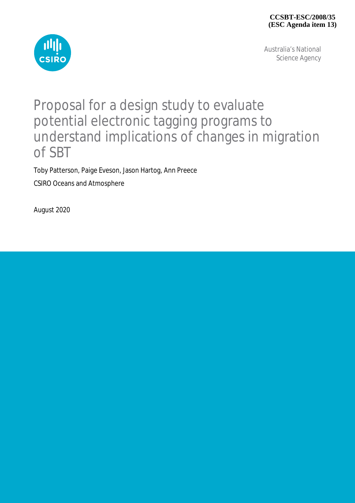

Australia's National Science Agency

## Proposal for a design study to evaluate potential electronic tagging programs to understand implications of changes in migration of SBT

Toby Patterson, Paige Eveson, Jason Hartog, Ann Preece CSIRO Oceans and Atmosphere

August 2020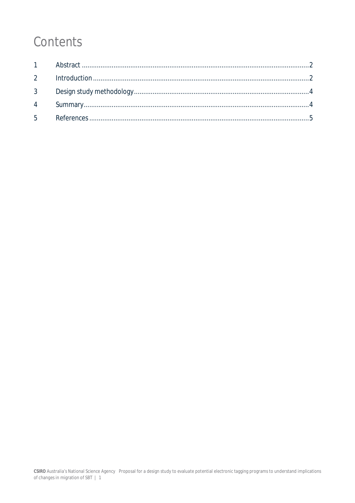# Contents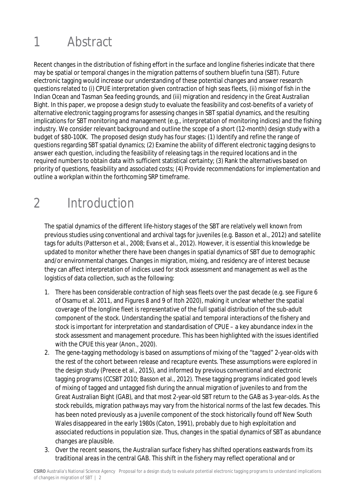# 1 Abstract

Recent changes in the distribution of fishing effort in the surface and longline fisheries indicate that there may be spatial or temporal changes in the migration patterns of southern bluefin tuna (SBT). Future electronic tagging would increase our understanding of these potential changes and answer research questions related to (i) CPUE interpretation given contraction of high seas fleets, (ii) mixing of fish in the Indian Ocean and Tasman Sea feeding grounds, and (iii) migration and residency in the Great Australian Bight. In this paper, we propose a design study to evaluate the feasibility and cost-benefits of a variety of alternative electronic tagging programs for assessing changes in SBT spatial dynamics, and the resulting implications for SBT monitoring and management (e.g., interpretation of monitoring indices) and the fishing industry. We consider relevant background and outline the scope of a short (12-month) design study with a budget of \$80-100K. The proposed design study has four stages: (1) Identify and refine the range of questions regarding SBT spatial dynamics; (2) Examine the ability of different electronic tagging designs to answer each question, including the feasibility of releasing tags in the required locations and in the required numbers to obtain data with sufficient statistical certainty; (3) Rank the alternatives based on priority of questions, feasibility and associated costs; (4) Provide recommendations for implementation and outline a workplan within the forthcoming SRP timeframe.

## 2 Introduction

The spatial dynamics of the different life-history stages of the SBT are relatively well known from previous studies using conventional and archival tags for juveniles (e.g. Basson et al., 2012) and satellite tags for adults (Patterson et al., 2008; Evans et al., 2012). However, it is essential this knowledge be updated to monitor whether there have been changes in spatial dynamics of SBT due to demographic and/or environmental changes. Changes in migration, mixing, and residency are of interest because they can affect interpretation of indices used for stock assessment and management as well as the logistics of data collection, such as the following:

- 1. There has been considerable contraction of high seas fleets over the past decade (e.g. see Figure 6 of Osamu et al. 2011, and Figures 8 and 9 of Itoh 2020), making it unclear whether the spatial coverage of the longline fleet is representative of the full spatial distribution of the sub-adult component of the stock. Understanding the spatial and temporal interactions of the fishery and stock is important for interpretation and standardisation of CPUE – a key abundance index in the stock assessment and management procedure. This has been highlighted with the issues identified with the CPUE this year (Anon., 2020).
- 2. The gene-tagging methodology is based on assumptions of mixing of the "tagged" 2-year-olds with the rest of the cohort between release and recapture events. These assumptions were explored in the design study (Preece et al., 2015), and informed by previous conventional and electronic tagging programs (CCSBT 2010; Basson et al., 2012). These tagging programs indicated good levels of mixing of tagged and untagged fish during the annual migration of juveniles to and from the Great Australian Bight (GAB), and that most 2-year-old SBT return to the GAB as 3-year-olds. As the stock rebuilds, migration pathways may vary from the historical norms of the last few decades. This has been noted previously as a juvenile component of the stock historically found off New South Wales disappeared in the early 1980s (Caton, 1991), probably due to high exploitation and associated reductions in population size. Thus, changes in the spatial dynamics of SBT as abundance changes are plausible.
- 3. Over the recent seasons, the Australian surface fishery has shifted operations eastwards from its traditional areas in the central GAB. This shift in the fishery may reflect operational and or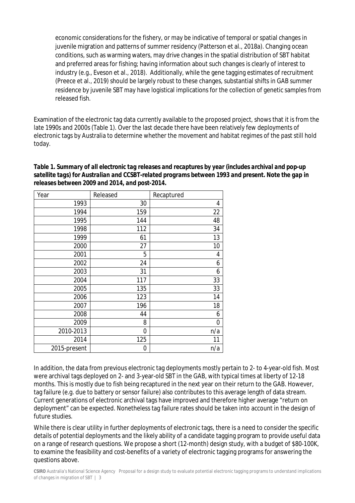economic considerations for the fishery, or may be indicative of temporal or spatial changes in juvenile migration and patterns of summer residency (Patterson et al., 2018a). Changing ocean conditions, such as warming waters, may drive changes in the spatial distribution of SBT habitat and preferred areas for fishing; having information about such changes is clearly of interest to industry (e.g., Eveson et al., 2018). Additionally, while the gene tagging estimates of recruitment (Preece et al., 2019) should be largely robust to these changes, substantial shifts in GAB summer residence by juvenile SBT may have logistical implications for the collection of genetic samples from released fish.

Examination of the electronic tag data currently available to the proposed project, shows that it is from the late 1990s and 2000s (Table 1). Over the last decade there have been relatively few deployments of electronic tags by Australia to determine whether the movement and habitat regimes of the past still hold today.

### *Table 1. Summary of all electronic tag releases and recaptures by year (includes archival and pop-up satellite tags) for Australian and CCSBT-related programs between 1993 and present. Note the gap in releases between 2009 and 2014, and post-2014.*

| Year         | Released | Recaptured |
|--------------|----------|------------|
| 1993         | 30       | 4          |
| 1994         | 159      | 22         |
| 1995         | 144      | 48         |
| 1998         | 112      | 34         |
| 1999         | 61       | 13         |
| 2000         | 27       | 10         |
| 2001         | 5        | 4          |
| 2002         | 24       | 6          |
| 2003         | 31       | 6          |
| 2004         | 117      | 33         |
| 2005         | 135      | 33         |
| 2006         | 123      | 14         |
| 2007         | 196      | 18         |
| 2008         | 44       | 6          |
| 2009         | 8        | 0          |
| 2010-2013    | 0        | n/a        |
| 2014         | 125      | 11         |
| 2015-present | 0        | n/a        |

In addition, the data from previous electronic tag deployments mostly pertain to 2- to 4-year-old fish. Most were archival tags deployed on 2- and 3-year-old SBT in the GAB, with typical times at liberty of 12-18 months. This is mostly due to fish being recaptured in the next year on their return to the GAB. However, tag failure (e.g. due to battery or sensor failure) also contributes to this average length of data stream. Current generations of electronic archival tags have improved and therefore higher average "return on deployment" can be expected. Nonetheless tag failure rates should be taken into account in the design of future studies.

While there is clear utility in further deployments of electronic tags, there is a need to consider the specific details of potential deployments and the likely ability of a candidate tagging program to provide useful data on a range of research questions. We propose a short (12-month) design study, with a budget of \$80-100K, to examine the feasibility and cost-benefits of a variety of electronic tagging programs for answering the questions above.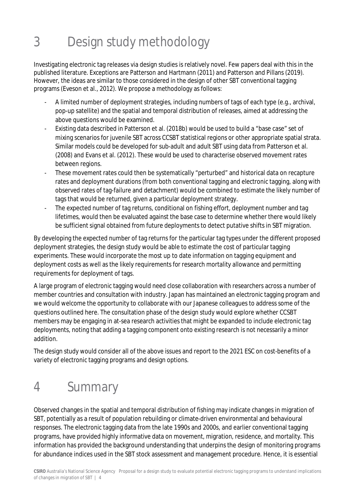# 3 Design study methodology

Investigating electronic tag releases via design studies is relatively novel. Few papers deal with this in the published literature. Exceptions are Patterson and Hartmann (2011) and Patterson and Pillans (2019). However, the ideas are similar to those considered in the design of other SBT conventional tagging programs (Eveson et al., 2012). We propose a methodology as follows:

- A limited number of deployment strategies, including numbers of tags of each type (e.g., archival, pop-up satellite) and the spatial and temporal distribution of releases, aimed at addressing the above questions would be examined.
- Existing data described in Patterson et al. (2018b) would be used to build a "base case" set of mixing scenarios for juvenile SBT across CCSBT statistical regions or other appropriate spatial strata. Similar models could be developed for sub-adult and adult SBT using data from Patterson et al. (2008) and Evans et al. (2012). These would be used to characterise observed movement rates between regions.
- These movement rates could then be systematically "perturbed" and historical data on recapture rates and deployment durations (from both conventional tagging and electronic tagging, along with observed rates of tag-failure and detachment) would be combined to estimate the likely number of tags that would be returned, given a particular deployment strategy.
- The expected number of tag returns, conditional on fishing effort, deployment number and tag lifetimes, would then be evaluated against the base case to determine whether there would likely be sufficient signal obtained from future deployments to detect putative shifts in SBT migration.

By developing the expected number of tag returns for the particular tag types under the different proposed deployment strategies, the design study would be able to estimate the cost of particular tagging experiments. These would incorporate the most up to date information on tagging equipment and deployment costs as well as the likely requirements for research mortality allowance and permitting requirements for deployment of tags.

A large program of electronic tagging would need close collaboration with researchers across a number of member countries and consultation with industry. Japan has maintained an electronic tagging program and we would welcome the opportunity to collaborate with our Japanese colleagues to address some of the questions outlined here. The consultation phase of the design study would explore whether CCSBT members may be engaging in at-sea research activities that might be expanded to include electronic tag deployments, noting that adding a tagging component onto existing research is not necessarily a minor addition.

The design study would consider all of the above issues and report to the 2021 ESC on cost-benefits of a variety of electronic tagging programs and design options.

# 4 Summary

Observed changes in the spatial and temporal distribution of fishing may indicate changes in migration of SBT, potentially as a result of population rebuilding or climate-driven environmental and behavioural responses. The electronic tagging data from the late 1990s and 2000s, and earlier conventional tagging programs, have provided highly informative data on movement, migration, residence, and mortality. This information has provided the background understanding that underpins the design of monitoring programs for abundance indices used in the SBT stock assessment and management procedure. Hence, it is essential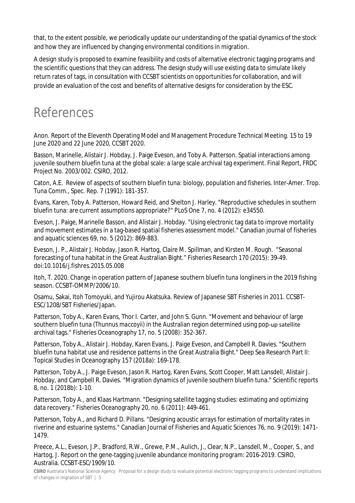that, to the extent possible, we periodically update our understanding of the spatial dynamics of the stock and how they are influenced by changing environmental conditions in migration.

A design study is proposed to examine feasibility and costs of alternative electronic tagging programs and the scientific questions that they can address. The design study will use existing data to simulate likely return rates of tags, in consultation with CCSBT scientists on opportunities for collaboration, and will provide an evaluation of the cost and benefits of alternative designs for consideration by the ESC.

## References

Anon. Report of the Eleventh Operating Model and Management Procedure Technical Meeting. 15 to 19 June 2020 and 22 June 2020, CCSBT 2020.

Basson, Marinelle, Alistair J. Hobday, J. Paige Eveson, and Toby A. Patterson. Spatial interactions among juvenile southern bluefin tuna at the global scale: a large scale archival tag experiment. Final Report, FRDC Project No. 2003/002. CSIRO, 2012.

Caton, A.E. Review of aspects of southern bluefin tuna: biology, population and fisheries. Inter-Amer. Trop. Tuna Comm., Spec. Rep. 7 (1991): 181-357.

Evans, Karen, Toby A. Patterson, Howard Reid, and Shelton J. Harley. "Reproductive schedules in southern bluefin tuna: are current assumptions appropriate?" PLoS One 7, no. 4 (2012): e34550.

Eveson, J. Paige, Marinelle Basson, and Alistair J. Hobday. "Using electronic tag data to improve mortality and movement estimates in a tag-based spatial fisheries assessment model." Canadian journal of fisheries and aquatic sciences 69, no. 5 (2012): 869-883.

Eveson, J. P., Alistair J. Hobday, Jason R. Hartog, Claire M. Spillman, and Kirsten M. Rough. "Seasonal forecasting of tuna habitat in the Great Australian Bight." Fisheries Research 170 (2015): 39-49. doi:10.1016/j.fishres.2015.05.008

Itoh, T. 2020. Change in operation pattern of Japanese southern bluefin tuna longliners in the 2019 fishing season. CCSBT-OMMP/2006/10.

Osamu, Sakai, Itoh Tomoyuki, and Yujirou Akatsuka. Review of Japanese SBT Fisheries in 2011. CCSBT-ESC/1208/SBT Fisheries/Japan.

Patterson, Toby A., Karen Evans, Thor I. Carter, and John S. Gunn. "Movement and behaviour of large southern bluefin tuna (*Thunnus maccoyii*) in the Australian region determined using pop‐up satellite archival tags." Fisheries Oceanography 17, no. 5 (2008): 352-367.

Patterson, Toby A., Alistair J. Hobday, Karen Evans, J. Paige Eveson, and Campbell R. Davies. "Southern bluefin tuna habitat use and residence patterns in the Great Australia Bight." Deep Sea Research Part II: Topical Studies in Oceanography 157 (2018a): 169-178.

Patterson, Toby A., J. Paige Eveson, Jason R. Hartog, Karen Evans, Scott Cooper, Matt Lansdell, Alistair J. Hobday, and Campbell R. Davies. "Migration dynamics of juvenile southern bluefin tuna." Scientific reports 8, no. 1 (2018b): 1-10.

Patterson, Toby A., and Klaas Hartmann. "Designing satellite tagging studies: estimating and optimizing data recovery." Fisheries Oceanography 20, no. 6 (2011): 449-461.

Patterson, Toby A., and Richard D. Pillans. "Designing acoustic arrays for estimation of mortality rates in riverine and estuarine systems." Canadian Journal of Fisheries and Aquatic Sciences 76, no. 9 (2019): 1471- 1479.

Preece, A.L., Eveson, J.P., Bradford, R.W., Grewe, P.M., Aulich, J., Clear, N.P., Lansdell, M., Cooper, S., and Hartog, J. Report on the gene-tagging juvenile abundance monitoring program: 2016-2019. CSIRO, Australia. CCSBT-ESC/1909/10.